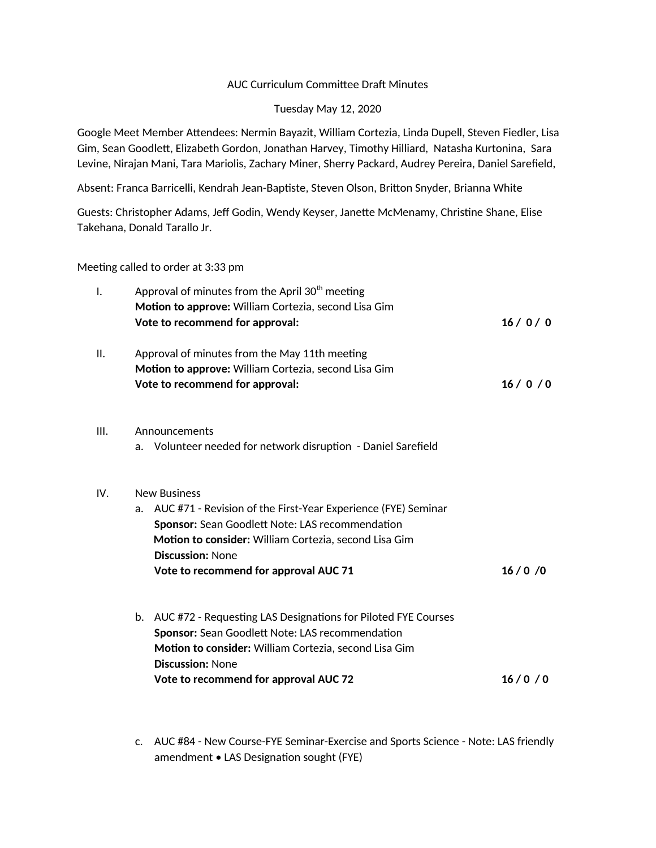## AUC Curriculum Committee Draft Minutes

## Tuesday May 12, 2020

Google Meet Member Attendees: Nermin Bayazit, William Cortezia, Linda Dupell, Steven Fiedler, Lisa Gim, Sean Goodlett, Elizabeth Gordon, Jonathan Harvey, Timothy Hilliard, Natasha Kurtonina, Sara Levine, Nirajan Mani, Tara Mariolis, Zachary Miner, Sherry Packard, Audrey Pereira, Daniel Sarefield,

Absent: Franca Barricelli, Kendrah Jean-Baptiste, Steven Olson, Britton Snyder, Brianna White

Guests: Christopher Adams, Jeff Godin, Wendy Keyser, Janette McMenamy, Christine Shane, Elise Takehana, Donald Tarallo Jr.

Meeting called to order at 3:33 pm

| I.   | Vote to recommend for approval:                       | Approval of minutes from the April 30 <sup>th</sup> meeting<br>Motion to approve: William Cortezia, second Lisa Gim | 16/0/0 |  |  |
|------|-------------------------------------------------------|---------------------------------------------------------------------------------------------------------------------|--------|--|--|
| Ш.   |                                                       | Approval of minutes from the May 11th meeting                                                                       |        |  |  |
|      | Vote to recommend for approval:                       | Motion to approve: William Cortezia, second Lisa Gim                                                                | 16/0/0 |  |  |
| III. | Announcements                                         |                                                                                                                     |        |  |  |
|      |                                                       | a. Volunteer needed for network disruption - Daniel Sarefield                                                       |        |  |  |
| IV.  | <b>New Business</b>                                   |                                                                                                                     |        |  |  |
|      |                                                       | a. AUC #71 - Revision of the First-Year Experience (FYE) Seminar                                                    |        |  |  |
|      |                                                       | <b>Sponsor:</b> Sean Goodlett Note: LAS recommendation                                                              |        |  |  |
|      |                                                       | Motion to consider: William Cortezia, second Lisa Gim                                                               |        |  |  |
|      | <b>Discussion: None</b>                               |                                                                                                                     |        |  |  |
|      |                                                       | Vote to recommend for approval AUC 71                                                                               | 16/0/0 |  |  |
|      |                                                       | b. AUC #72 - Requesting LAS Designations for Piloted FYE Courses                                                    |        |  |  |
|      |                                                       | Sponsor: Sean Goodlett Note: LAS recommendation                                                                     |        |  |  |
|      | Motion to consider: William Cortezia, second Lisa Gim |                                                                                                                     |        |  |  |
|      | <b>Discussion: None</b>                               |                                                                                                                     |        |  |  |
|      |                                                       | Vote to recommend for approval AUC 72                                                                               | 16/0/0 |  |  |

c. AUC #84 - New Course-FYE Seminar-Exercise and Sports Science - Note: LAS friendly amendment • LAS Designation sought (FYE)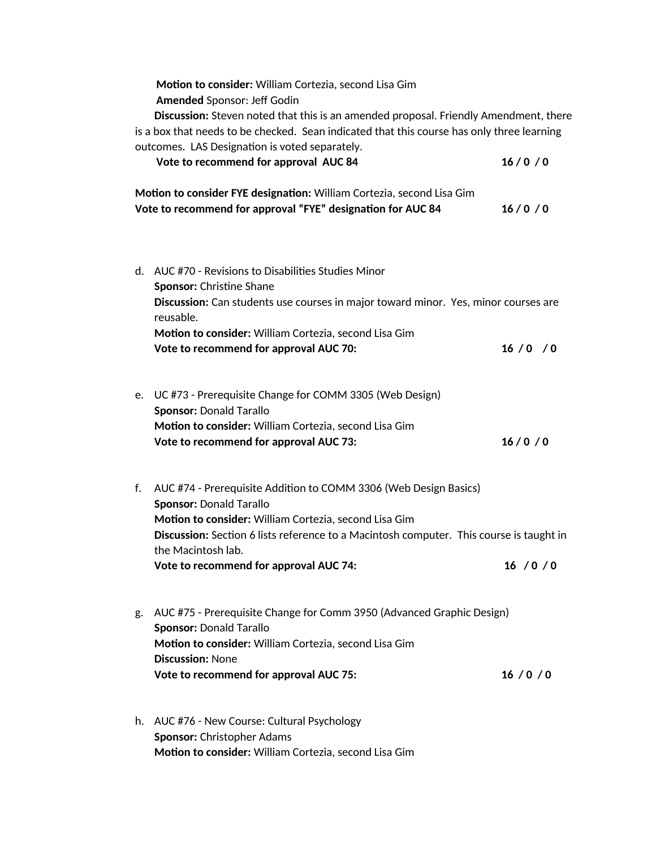**Motion to consider:** William Cortezia, second Lisa Gim  **Amended** Sponsor: Jeff Godin **Discussion:** Steven noted that this is an amended proposal. Friendly Amendment, there is a box that needs to be checked. Sean indicated that this course has only three learning

|    | outcomes. LAS Designation is voted separately.<br>Vote to recommend for approval AUC 84                                                                                                                                                                                                                                | 16/0/0   |
|----|------------------------------------------------------------------------------------------------------------------------------------------------------------------------------------------------------------------------------------------------------------------------------------------------------------------------|----------|
|    | Motion to consider FYE designation: William Cortezia, second Lisa Gim<br>Vote to recommend for approval "FYE" designation for AUC 84                                                                                                                                                                                   | 16/0/0   |
|    | d. AUC #70 - Revisions to Disabilities Studies Minor<br>Sponsor: Christine Shane<br>Discussion: Can students use courses in major toward minor. Yes, minor courses are<br>reusable.<br>Motion to consider: William Cortezia, second Lisa Gim<br>Vote to recommend for approval AUC 70:                                 | 16/0 / 0 |
| e. | UC #73 - Prerequisite Change for COMM 3305 (Web Design)<br><b>Sponsor: Donald Tarallo</b><br>Motion to consider: William Cortezia, second Lisa Gim<br>Vote to recommend for approval AUC 73:                                                                                                                           | 16/0/0   |
| f. | AUC #74 - Prerequisite Addition to COMM 3306 (Web Design Basics)<br><b>Sponsor: Donald Tarallo</b><br>Motion to consider: William Cortezia, second Lisa Gim<br>Discussion: Section 6 lists reference to a Macintosh computer. This course is taught in<br>the Macintosh lab.<br>Vote to recommend for approval AUC 74: | 16/0/0   |
| g. | AUC #75 - Prerequisite Change for Comm 3950 (Advanced Graphic Design)<br><b>Sponsor: Donald Tarallo</b><br>Motion to consider: William Cortezia, second Lisa Gim<br><b>Discussion: None</b><br>Vote to recommend for approval AUC 75:                                                                                  | 16/0/0   |

h. AUC #76 - New Course: Cultural Psychology **Sponsor:** Christopher Adams **Motion to consider:** William Cortezia, second Lisa Gim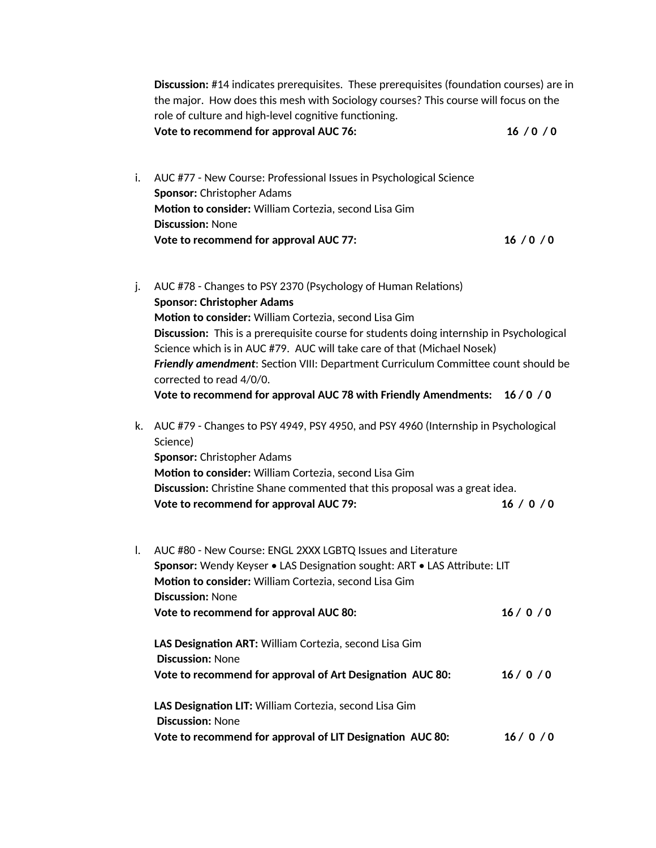|    | Discussion: #14 indicates prerequisites. These prerequisites (foundation courses) are in<br>the major. How does this mesh with Sociology courses? This course will focus on the<br>role of culture and high-level cognitive functioning. |        |  |
|----|------------------------------------------------------------------------------------------------------------------------------------------------------------------------------------------------------------------------------------------|--------|--|
|    | Vote to recommend for approval AUC 76:                                                                                                                                                                                                   | 16/0/0 |  |
| i. | AUC #77 - New Course: Professional Issues in Psychological Science<br><b>Sponsor: Christopher Adams</b><br>Motion to consider: William Cortezia, second Lisa Gim<br><b>Discussion: None</b>                                              |        |  |
|    | Vote to recommend for approval AUC 77:                                                                                                                                                                                                   | 16/0/0 |  |

- j. AUC #78 Changes to PSY 2370 (Psychology of Human Relations) **Sponsor: Christopher Adams Motion to consider:** William Cortezia, second Lisa Gim **Discussion:** This is a prerequisite course for students doing internship in Psychological Science which is in AUC #79. AUC will take care of that (Michael Nosek) *Friendly amendment*: Section VIII: Department Curriculum Committee count should be corrected to read 4/0/0. **Vote to recommend for approval AUC 78 with Friendly Amendments: 16 / 0 / 0**
- k. AUC #79 Changes to PSY 4949, PSY 4950, and PSY 4960 (Internship in Psychological Science) **Sponsor:** Christopher Adams **Motion to consider:** William Cortezia, second Lisa Gim **Discussion:** Christine Shane commented that this proposal was a great idea.

| Vote to recommend for approval AUC 79: | 16/0/0 |
|----------------------------------------|--------|

l. AUC #80 - New Course: ENGL 2XXX LGBTQ Issues and Literature **Sponsor:** Wendy Keyser • LAS Designation sought: ART • LAS Attribute: LIT **Motion to consider:** William Cortezia, second Lisa Gim **Discussion:** None Vote to recommend for approval AUC 80: 16 / 0 / 0 **LAS Designation ART:** William Cortezia, second Lisa Gim  **Discussion:** None **Vote to recommend for approval of Art Designation AUC 80: 16 / 0 / 0 LAS Designation LIT:** William Cortezia, second Lisa Gim **Discussion:** None **Vote to recommend for approval of LIT Designation AUC 80: 16 / 0 / 0**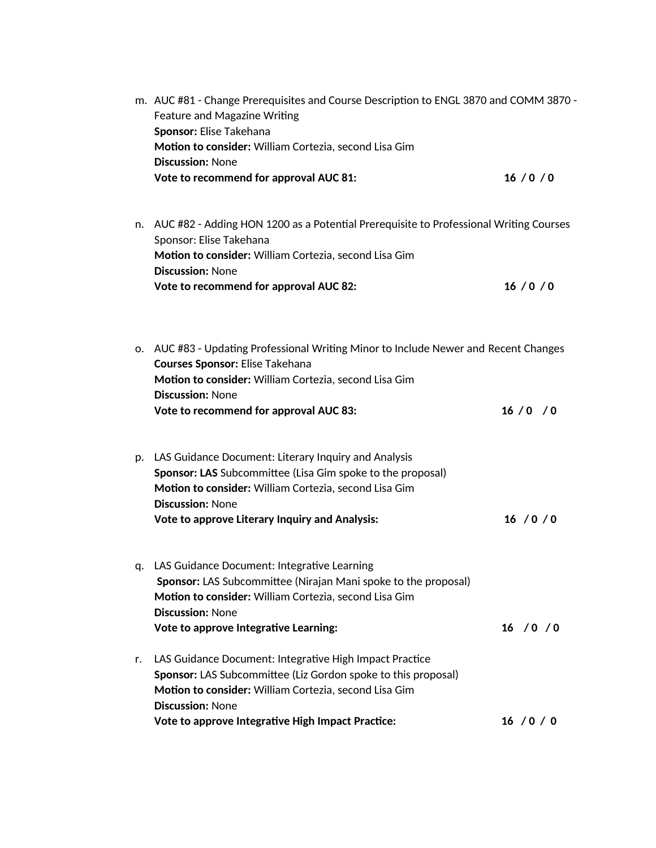|    | m. AUC #81 - Change Prerequisites and Course Description to ENGL 3870 and COMM 3870 -<br>Feature and Magazine Writing<br>Sponsor: Elise Takehana<br>Motion to consider: William Cortezia, second Lisa Gim                                                          |            |  |  |
|----|--------------------------------------------------------------------------------------------------------------------------------------------------------------------------------------------------------------------------------------------------------------------|------------|--|--|
|    | <b>Discussion: None</b><br>Vote to recommend for approval AUC 81:                                                                                                                                                                                                  | 16/0/0     |  |  |
|    | n. AUC #82 - Adding HON 1200 as a Potential Prerequisite to Professional Writing Courses<br>Sponsor: Elise Takehana<br>Motion to consider: William Cortezia, second Lisa Gim<br><b>Discussion: None</b>                                                            |            |  |  |
|    | <b>Vote to recommend for approval AUC 82:</b>                                                                                                                                                                                                                      | 16/0/0     |  |  |
|    | o. AUC #83 - Updating Professional Writing Minor to Include Newer and Recent Changes<br><b>Courses Sponsor: Elise Takehana</b><br>Motion to consider: William Cortezia, second Lisa Gim<br><b>Discussion: None</b>                                                 |            |  |  |
|    | Vote to recommend for approval AUC 83:                                                                                                                                                                                                                             | 16/0 / 0   |  |  |
|    | p. LAS Guidance Document: Literary Inquiry and Analysis<br>Sponsor: LAS Subcommittee (Lisa Gim spoke to the proposal)<br>Motion to consider: William Cortezia, second Lisa Gim<br><b>Discussion: None</b><br><b>Vote to approve Literary Inquiry and Analysis:</b> | 16/0/0     |  |  |
|    | q. LAS Guidance Document: Integrative Learning<br>Sponsor: LAS Subcommittee (Nirajan Mani spoke to the proposal)<br>Motion to consider: William Cortezia, second Lisa Gim<br><b>Discussion: None</b><br><b>Vote to approve Integrative Learning:</b>               | 16 / 0 / 0 |  |  |
| r. | LAS Guidance Document: Integrative High Impact Practice<br>Sponsor: LAS Subcommittee (Liz Gordon spoke to this proposal)<br>Motion to consider: William Cortezia, second Lisa Gim<br><b>Discussion: None</b>                                                       |            |  |  |
|    | Vote to approve Integrative High Impact Practice:                                                                                                                                                                                                                  | 16 / 0 / 0 |  |  |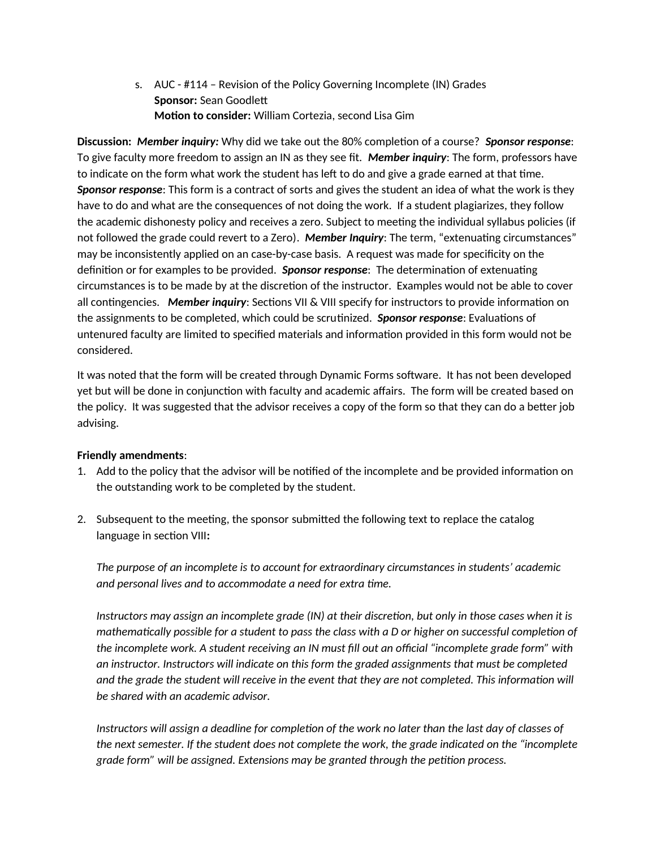s. AUC - #114 – Revision of the Policy Governing Incomplete (IN) Grades **Sponsor:** Sean Goodlett **Motion to consider:** William Cortezia, second Lisa Gim

**Discussion:** *Member inquiry:* Why did we take out the 80% completion of a course? *Sponsor response*: To give faculty more freedom to assign an IN as they see fit. *Member inquiry*: The form, professors have to indicate on the form what work the student has left to do and give a grade earned at that time. *Sponsor response*: This form is a contract of sorts and gives the student an idea of what the work is they have to do and what are the consequences of not doing the work. If a student plagiarizes, they follow the academic dishonesty policy and receives a zero. Subject to meeting the individual syllabus policies (if not followed the grade could revert to a Zero). *Member Inquiry*: The term, "extenuating circumstances" may be inconsistently applied on an case-by-case basis. A request was made for specificity on the definition or for examples to be provided. *Sponsor response*: The determination of extenuating circumstances is to be made by at the discretion of the instructor. Examples would not be able to cover all contingencies. *Member inquiry*: Sections VII & VIII specify for instructors to provide information on the assignments to be completed, which could be scrutinized. *Sponsor response*: Evaluations of untenured faculty are limited to specified materials and information provided in this form would not be considered.

It was noted that the form will be created through Dynamic Forms software. It has not been developed yet but will be done in conjunction with faculty and academic affairs. The form will be created based on the policy. It was suggested that the advisor receives a copy of the form so that they can do a better job advising.

## **Friendly amendments**:

- 1. Add to the policy that the advisor will be notified of the incomplete and be provided information on the outstanding work to be completed by the student.
- 2. Subsequent to the meeting, the sponsor submitted the following text to replace the catalog language in section VIII**:**

*The purpose of an incomplete is to account for extraordinary circumstances in students' academic and personal lives and to accommodate a need for extra time.*

*Instructors may assign an incomplete grade (IN) at their discretion, but only in those cases when it is mathematically possible for a student to pass the class with a D or higher on successful completion of the incomplete work. A student receiving an IN must fill out an official "incomplete grade form" with an instructor. Instructors will indicate on this form the graded assignments that must be completed and the grade the student will receive in the event that they are not completed. This information will be shared with an academic advisor.*

*Instructors will assign a deadline for completion of the work no later than the last day of classes of the next semester. If the student does not complete the work, the grade indicated on the "incomplete grade form" will be assigned. Extensions may be granted through the petition process.*